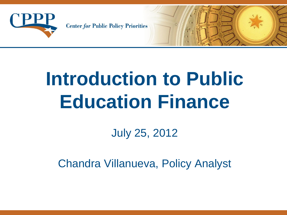

**Center for Public Policy Priorities** 

# **Introduction to Public Education Finance**

July 25, 2012

Chandra Villanueva, Policy Analyst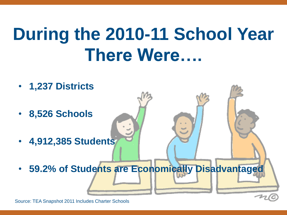# **During the 2010-11 School Year There Were….**



Source: TEA Snapshot 2011 Includes Charter Schools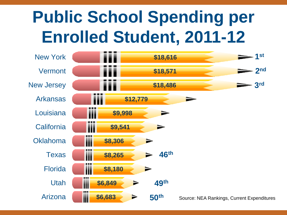# **Public School Spending per Enrolled Student, 2011-12**

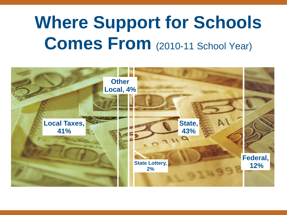# **Where Support for Schools Comes From** (2010-11 School Year)

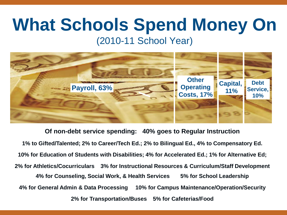# **What Schools Spend Money On** (2010-11 School Year)



**Of non-debt service spending: 40% goes to Regular Instruction 1% to Gifted/Talented; 2% to Career/Tech Ed.; 2% to Bilingual Ed., 4% to Compensatory Ed. 10% for Education of Students with Disabilities; 4% for Accelerated Ed.; 1% for Alternative Ed; 2% for Athletics/Cocurriculars 3% for Instructional Resources & Curriculum/Staff Development 4% for Counseling, Social Work, & Health Services 5% for School Leadership 4% for General Admin & Data Processing 10% for Campus Maintenance/Operation/Security 2% for Transportation/Buses 5% for Cafeterias/Food**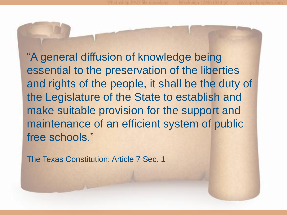"A general diffusion of knowledge being essential to the preservation of the liberties and rights of the people, it shall be the duty of the Legislature of the State to establish and make suitable provision for the support and maintenance of an efficient system of public free schools."

The Texas Constitution: Article 7 Sec. 1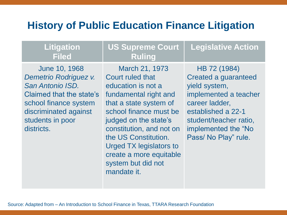#### **History of Public Education Finance Litigation**

**US Supreme Court** 

**Ruling**

#### **Litigation Filed**

 June 10, 1968 *Demetrio Rodriguez v. San Antonio ISD.*  Claimed that the state's school finance system discriminated against students in poor districts.

#### March 21, 1973 Court ruled that education is not a fundamental right and that a state system of school finance must be judged on the state's constitution, and not on the US Constitution. Urged TX legislators to create a more equitable system but did not mandate it.

 HB 72 (1984) Created a guaranteed yield system, implemented a teacher career ladder, established a 22-1 student/teacher ratio, implemented the "No Pass/ No Play" rule.

**Legislative Action** 

Source: Adapted from – An Introduction to School Finance in Texas, TTARA Research Foundation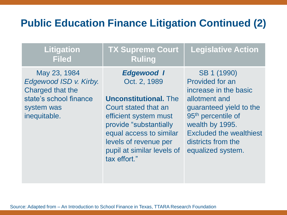### **Public Education Finance Litigation Continued (2)**

#### **Litigation Filed**

#### **TX Supreme Court Ruling Legislative Action**

 May 23, 1984 *Edgewood ISD v. Kirby.*  Charged that the state's school finance system was inequitable.

*Edgewood I* Oct. 2, 1989

**Unconstitutional.** The Court stated that an efficient system must provide "substantially equal access to similar levels of revenue per pupil at similar levels of tax effort."

 SB 1 (1990) Provided for an increase in the basic allotment and guaranteed yield to the 95<sup>th</sup> percentile of wealth by 1995. Excluded the wealthiest districts from the equalized system.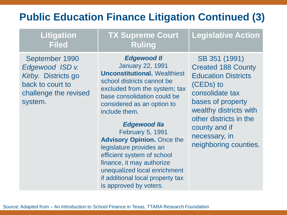### **Public Education Finance Litigation Continued (3)**

| <b>Litigation</b><br><b>Filed</b>                                                                                | <b>TX Supreme Court</b><br><b>Ruling</b>                                                                                                                                                                                                                                                                                                                                                                                                       | <b>Legislative Action</b>                                                                                                                                                                                                                    |
|------------------------------------------------------------------------------------------------------------------|------------------------------------------------------------------------------------------------------------------------------------------------------------------------------------------------------------------------------------------------------------------------------------------------------------------------------------------------------------------------------------------------------------------------------------------------|----------------------------------------------------------------------------------------------------------------------------------------------------------------------------------------------------------------------------------------------|
| September 1990<br>Edgewood ISD v.<br>Kirby. Districts go<br>back to court to<br>challenge the revised<br>system. | <b>Edgewood II</b><br><b>January 22, 1991</b><br><b>Unconstitutional. Wealthiest</b><br>school districts cannot be<br>excluded from the system; tax<br>base consolidation could be<br>considered as an option to<br>include them.<br><b>Edgewood Ila</b><br><b>February 5, 1991</b><br><b>Advisory Opinion.</b> Once the<br>legislature provides an<br>efficient system of school<br>finance, it may authorize<br>unequalized local enrichment | SB 351 (1991)<br><b>Created 188 County</b><br><b>Education Districts</b><br>(CEDs) to<br>consolidate tax<br>bases of property<br>wealthy districts with<br>other districts in the<br>county and if<br>necessary, in<br>neighboring counties. |

if additional local property tax

is approved by voters.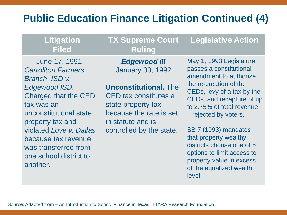#### **Public Education Finance Litigation Continued (4)**

**Litigation Filed**

 June 17, 1991 *Carrollton Farmers*  **Branch ISD** *v. Edgewood ISD.*  Charged that the CED tax was an unconstitutional state property tax and violated *Love v. Dallas*  because tax revenue was transferred from one school district to another.

**TX Supreme Court Ruling**

> *Edgewood III* January 30, 1992

**Unconstitutional.** The CED tax constitutes a state property tax because the rate is set in statute and is controlled by the state.

May 1, 1993 Legislature passes a constitutional amendment to authorize the re-creation of the CEDs, levy of a tax by the CEDs, and recapture of up to 2.75% of total revenue – rejected by voters.

**Legislative Action** 

SB 7 (1993) mandates that property wealthy districts choose one of 5 options to limit access to property value in excess of the equalized wealth level.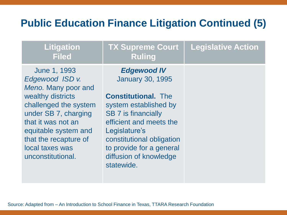#### **Public Education Finance Litigation Continued (5)**

| <b>Litigation</b><br><b>Filed</b>                                                                                                                                                                                                           | <b>TX Supreme Court</b><br><b>Ruling</b>                                                                                                                                                                                                                                        | <b>Legislative Action</b> |
|---------------------------------------------------------------------------------------------------------------------------------------------------------------------------------------------------------------------------------------------|---------------------------------------------------------------------------------------------------------------------------------------------------------------------------------------------------------------------------------------------------------------------------------|---------------------------|
| June 1, 1993<br>Edgewood ISD v.<br>Meno. Many poor and<br>wealthy districts<br>challenged the system<br>under SB 7, charging<br>that it was not an<br>equitable system and<br>that the recapture of<br>local taxes was<br>unconstitutional. | <b>Edgewood IV</b><br><b>January 30, 1995</b><br><b>Constitutional.</b> The<br>system established by<br><b>SB 7 is financially</b><br>efficient and meets the<br>Legislature's<br>constitutional obligation<br>to provide for a general<br>diffusion of knowledge<br>statewide. |                           |
|                                                                                                                                                                                                                                             |                                                                                                                                                                                                                                                                                 |                           |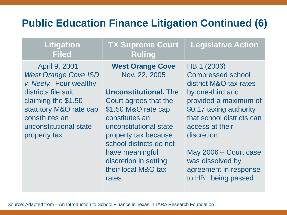### **Public Education Finance Litigation Continued (6)**

#### **Litigation Filed**

 April 9, 2001 *West Orange Cove ISD v. Neely.* Four wealthy districts file suit claiming the \$1.50 statutory M&O rate cap constitutes an unconstitutional state property tax.

**TX Supreme Court Ruling**

**West Orange Cove** Nov. 22, 2005

**Unconstitutional.** The Court agrees that the \$1.50 M&O rate cap constitutes an unconstitutional state property tax because school districts do not have meaningful discretion in setting their local M&O tax rates.

HB 1 (2006) Compressed school district M&O tax rates by one-third and provided a maximum of \$0.17 taxing authority that school districts can access at their discretion.

**Legislative Action** 

May 2006 – Court case was dissolved by agreement in response to HB1 being passed.

Source: Adapted from – An Introduction to School Finance in Texas, TTARA Research Foundation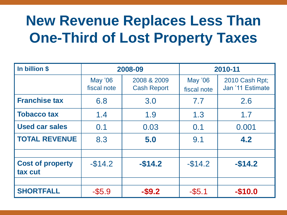# **New Revenue Replaces Less Than One-Third of Lost Property Taxes**

| In billion \$                      | 2008-09                       |                                   | 2010-11                       |                                    |
|------------------------------------|-------------------------------|-----------------------------------|-------------------------------|------------------------------------|
|                                    | <b>May '06</b><br>fiscal note | 2008 & 2009<br><b>Cash Report</b> | <b>May '06</b><br>fiscal note | 2010 Cash Rpt;<br>Jan '11 Estimate |
| <b>Franchise tax</b>               | 6.8                           | 3.0                               | 7.7                           | 2.6                                |
| <b>Tobacco tax</b>                 | 1.4                           | 1.9                               | 1.3                           | 1.7                                |
| <b>Used car sales</b>              | 0.1                           | 0.03                              | 0.1                           | 0.001                              |
| <b>TOTAL REVENUE</b>               | 8.3                           | 5.0                               | 9.1                           | 4.2                                |
| <b>Cost of property</b><br>tax cut | $-$14.2$                      | $-$14.2$                          | $-$14.2$                      | $-$14.2$                           |
| <b>SHORTFALL</b>                   | $-$ \$5.9                     | $-$ \$9.2                         | $-$ \$5.1                     | $-$10.0$                           |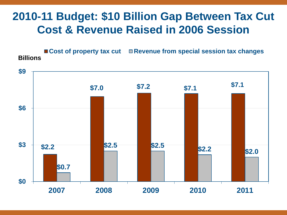## **2010-11 Budget: \$10 Billion Gap Between Tax Cut Cost & Revenue Raised in 2006 Session**

■ Cost of property tax cut ■ Revenue from special session tax changes **Billions**

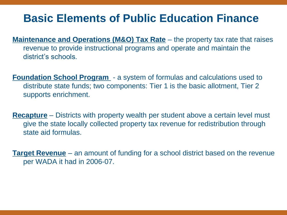### **Basic Elements of Public Education Finance**

- **Maintenance and Operations (M&O) Tax Rate** the property tax rate that raises revenue to provide instructional programs and operate and maintain the district's schools.
- **Foundation School Program**  a system of formulas and calculations used to distribute state funds; two components: Tier 1 is the basic allotment, Tier 2 supports enrichment.
- **Recapture** Districts with property wealth per student above a certain level must give the state locally collected property tax revenue for redistribution through state aid formulas.

**Target Revenue** – an amount of funding for a school district based on the revenue per WADA it had in 2006-07.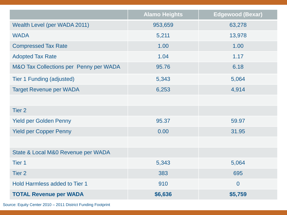|                                        | <b>Alamo Heights</b> | <b>Edgewood (Bexar)</b> |
|----------------------------------------|----------------------|-------------------------|
| Wealth Level (per WADA 2011)           | 953,659              | 63,278                  |
| <b>WADA</b>                            | 5,211                | 13,978                  |
| <b>Compressed Tax Rate</b>             | 1.00                 | 1.00                    |
| <b>Adopted Tax Rate</b>                | 1.04                 | 1.17                    |
| M&O Tax Collections per Penny per WADA | 95.76                | 6.18                    |
| <b>Tier 1 Funding (adjusted)</b>       | 5,343                | 5,064                   |
| <b>Target Revenue per WADA</b>         | 6,253                | 4,914                   |
|                                        |                      |                         |
| Tier <sub>2</sub>                      |                      |                         |
| <b>Yield per Golden Penny</b>          | 95.37                | 59.97                   |
| <b>Yield per Copper Penny</b>          | 0.00                 | 31.95                   |
|                                        |                      |                         |
| State & Local M&0 Revenue per WADA     |                      |                         |
| Tier <sub>1</sub>                      | 5,343                | 5,064                   |
| Tier <sub>2</sub>                      | 383                  | 695                     |
| <b>Hold Harmless added to Tier 1</b>   | 910                  | $\overline{0}$          |
| <b>TOTAL Revenue per WADA</b>          | \$6,636              | \$5,759                 |

Source: Equity Center 2010 – 2011 District Funding Footprint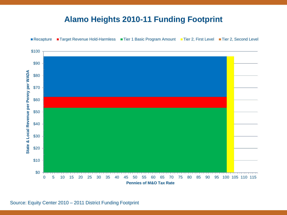#### **Alamo Heights 2010-11 Funding Footprint**



Source: Equity Center 2010 – 2011 District Funding Footprint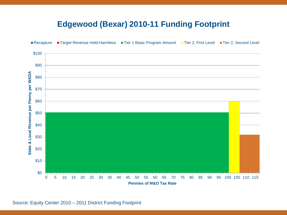#### **Edgewood (Bexar) 2010-11 Funding Footprint**



Source: Equity Center 2010 – 2011 District Funding Footprint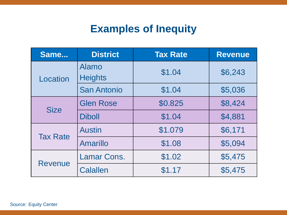### **Examples of Inequity**

| Same            | <b>District</b>         | <b>Tax Rate</b> | <b>Revenue</b> |  |
|-----------------|-------------------------|-----------------|----------------|--|
| Location        | Alamo<br><b>Heights</b> | \$1.04          | \$6,243        |  |
|                 | <b>San Antonio</b>      | \$1.04          | \$5,036        |  |
| <b>Size</b>     | <b>Glen Rose</b>        | \$0.825         | \$8,424        |  |
|                 | <b>Diboll</b>           | \$1.04          | \$4,881        |  |
| <b>Tax Rate</b> | <b>Austin</b>           | \$1.079         | \$6,171        |  |
|                 | Amarillo                | \$1.08          | \$5,094        |  |
| <b>Revenue</b>  | Lamar Cons.             | \$1.02          | \$5,475        |  |
|                 | <b>Calallen</b>         | \$1.17          | \$5,475        |  |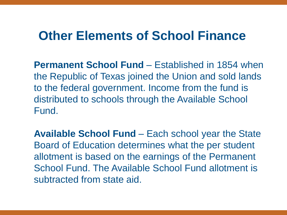## **Other Elements of School Finance**

**Permanent School Fund** – Established in 1854 when the Republic of Texas joined the Union and sold lands to the federal government. Income from the fund is distributed to schools through the Available School Fund.

**Available School Fund** – Each school year the State Board of Education determines what the per student allotment is based on the earnings of the Permanent School Fund. The Available School Fund allotment is subtracted from state aid.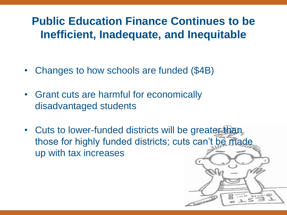## **Public Education Finance Continues to be Inefficient, Inadequate, and Inequitable**

- Changes to how schools are funded (\$4B)
- Grant cuts are harmful for economically disadvantaged students
- Cuts to lower-funded districts will be greater than those for highly funded districts; cuts can't be made up with tax increases

w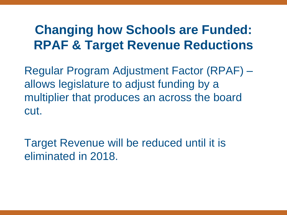## **Changing how Schools are Funded: RPAF & Target Revenue Reductions**

Regular Program Adjustment Factor (RPAF) – allows legislature to adjust funding by a multiplier that produces an across the board cut.

Target Revenue will be reduced until it is eliminated in 2018.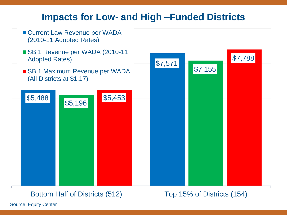#### **Impacts for Low- and High –Funded Districts**



#### Bottom Half of Districts (512) Top 15% of Districts (154)

Source: Equity Center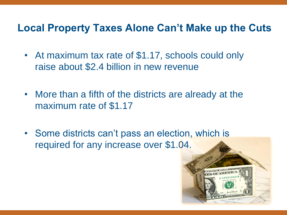#### **Local Property Taxes Alone Can't Make up the Cuts**

- At maximum tax rate of \$1.17, schools could only raise about \$2.4 billion in new revenue
- More than a fifth of the districts are already at the maximum rate of \$1.17
- Some districts can't pass an election, which is required for any increase over \$1.04.

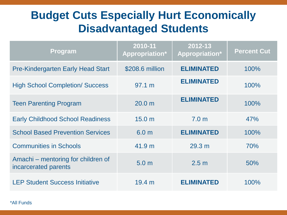## **Budget Cuts Especially Hurt Economically Disadvantaged Students**

| <b>Program</b>                                             | 2010-11<br>Appropriation* | 2012-13<br>Appropriation* | <b>Percent Cut</b> |
|------------------------------------------------------------|---------------------------|---------------------------|--------------------|
| <b>Pre-Kindergarten Early Head Start</b>                   | \$208.6 million           | <b>ELIMINATED</b>         | 100%               |
| <b>High School Completion/ Success</b>                     | 97.1 m                    | <b>ELIMINATED</b>         | 100%               |
| <b>Teen Parenting Program</b>                              | 20.0 <sub>m</sub>         | <b>ELIMINATED</b>         | 100%               |
| <b>Early Childhood School Readiness</b>                    | 15.0 <sub>m</sub>         | 7.0 <sub>m</sub>          | 47%                |
| <b>School Based Prevention Services</b>                    | 6.0 <sub>m</sub>          | <b>ELIMINATED</b>         | 100%               |
| <b>Communities in Schools</b>                              | 41.9 m                    | 29.3 m                    | 70%                |
| Amachi – mentoring for children of<br>incarcerated parents | 5.0 <sub>m</sub>          | 2.5 <sub>m</sub>          | 50%                |
| <b>LEP Student Success Initiative</b>                      | 19.4 m                    | <b>ELIMINATED</b>         | 100%               |

\*All Funds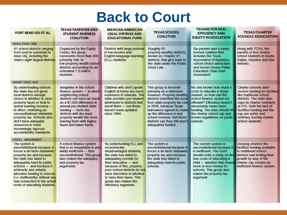# **Back to Court**

| FORT BEND ISD ET AL.                                                                                                                                                                                                                                                                                                                                          | <b>TEXAS TAXPAYER AND</b><br><b>STUDENT FAIRNESS</b><br><b>COALITION</b>                                                                                                                                                                                                                                  | <b>MEXICAN AMERICAN</b><br><b>LEGAL DEFENSE AND</b><br><b>EDUCATIONAL FUND</b>                                                                                                                                                                                                                                            | <b>TEXAS SCHOOL</b><br><b>COALITION</b>                                                                                                                                                                                                                                                                                  | <b>TEXANS FOR REAL</b><br><b>EFFICIENCY AND</b><br><b>EQUITY IN EDUCATION</b>                                                                                                                                                                                                     | <b>TEXAS CHARTER</b><br><b>SCHOOLS ASSOCIATION</b>                                                                                                                                                                                                                              |
|---------------------------------------------------------------------------------------------------------------------------------------------------------------------------------------------------------------------------------------------------------------------------------------------------------------------------------------------------------------|-----------------------------------------------------------------------------------------------------------------------------------------------------------------------------------------------------------------------------------------------------------------------------------------------------------|---------------------------------------------------------------------------------------------------------------------------------------------------------------------------------------------------------------------------------------------------------------------------------------------------------------------------|--------------------------------------------------------------------------------------------------------------------------------------------------------------------------------------------------------------------------------------------------------------------------------------------------------------------------|-----------------------------------------------------------------------------------------------------------------------------------------------------------------------------------------------------------------------------------------------------------------------------------|---------------------------------------------------------------------------------------------------------------------------------------------------------------------------------------------------------------------------------------------------------------------------------|
| <b>WHO THEY ARE</b>                                                                                                                                                                                                                                                                                                                                           |                                                                                                                                                                                                                                                                                                           |                                                                                                                                                                                                                                                                                                                           |                                                                                                                                                                                                                                                                                                                          |                                                                                                                                                                                                                                                                                   |                                                                                                                                                                                                                                                                                 |
| 81 school districts ranging<br>from rural to suburban to<br>inner city, including the<br>state's eight largest districts.                                                                                                                                                                                                                                     | Organized by the Equity<br>Center, the group<br>represents more than 400<br>primarily mid- to<br>low-property wealth school<br>districts accounting for an<br>estimated 1.3 million<br>students.                                                                                                          | Districts with large portions<br>of low-income and<br>English-language-learning<br>(ELL) students                                                                                                                                                                                                                         | Roughly 60<br>property-wealthy districts,<br>known as Chapter 41<br>districts, that give back to<br>the state under the Robin<br>Hood Law.                                                                                                                                                                               | Six parents and a newly<br>formed coalition that<br>includes the Texas<br><b>Association of Business.</b><br>school choice advocates<br>and former House Public<br><b>Education Chair Kent</b><br>Grusendorf.                                                                     | Along with TCSA, the<br>parents of five charter<br>school students in Austin.<br>Dallas, Houston and San<br>Antonio.                                                                                                                                                            |
| <b>WHAT THEY SAY</b>                                                                                                                                                                                                                                                                                                                                          |                                                                                                                                                                                                                                                                                                           |                                                                                                                                                                                                                                                                                                                           |                                                                                                                                                                                                                                                                                                                          |                                                                                                                                                                                                                                                                                   |                                                                                                                                                                                                                                                                                 |
| By underfunding schools<br>the state has not given<br>local districts enough<br>choice in whether to raise<br>property taxes or how to<br>spend existing revenue -<br>in effect, instituting an<br>unconstitutional statewide<br>property tax. Schools also<br>don't have adequate<br>resources to meet<br>increasingly rigorous<br>accountability standards. | Inequities in the school<br>finance system - in which<br>neighboring school<br>districts can have as much<br>as a \$7,000 difference in<br>annual per-student state<br>funding - hurts the<br>districts with the least<br>property wealth the most,<br>leaving them with higher<br>taxes and fewer funds. | Children who don't speak<br>English at home are more<br>expensive to educate. The<br>state provides per-student<br>allotments to districts that<br>enroll them - but those<br>haven't been updated<br>since 1984.                                                                                                         | This group is involved<br>primarily as a defensive<br>measure. Property wealthy<br>districts benefited the most<br>from state property tax cuts<br>in 2006, because Texas<br>lawmakers agreed to make<br>up the difference in lost<br>school revenue. But these<br>districts say they still aren't<br>adequately funded. | No one knows how much it<br>costs to educate a Texas<br>student, so how can the<br>school finance system be<br>efficient? Efficiency doesn't<br>necessarily mean more<br>funding. The state should lift<br>the charter school cap and<br>lessen regulations on public<br>schools. | Charter schools don't<br>receive funding for facilities<br>like traditional school<br>districts. The state also<br>caps its charter contracts<br>at 215. Both the lack of<br>facilities funding and the<br>cap are unfair and<br>arbitrary, hurting charter<br>school students. |
| <b>LEGAL ARGUMENT</b>                                                                                                                                                                                                                                                                                                                                         |                                                                                                                                                                                                                                                                                                           |                                                                                                                                                                                                                                                                                                                           |                                                                                                                                                                                                                                                                                                                          |                                                                                                                                                                                                                                                                                   |                                                                                                                                                                                                                                                                                 |
| The system is<br>unconstitutional because it<br>forces a de facto statewide<br>property tax and because<br>the state has failed to<br>adequately fund its public<br>schools - and because it<br>arbitrarily and unfairly<br>allocates funding to schools<br>(i.e. inefficiently) without any<br>real connection to the actual<br>costs of educating students. | A school finance system<br>that is so inequitable is also<br>wildly inefficient - thus<br>unconstitutional. This group<br>also makes the adequacy<br>and property tax<br>arguments.                                                                                                                       | By underfunding ELL and<br>economically<br>disadvantaged students,<br>the state has failed to<br>adequately provide for<br>their education - and<br>because of this, property<br>poor school districts do not<br>have discretion in whether<br>to raise their taxes. This<br>group also makes the<br>efficiency argument. | The system is<br>unconstitutional because it<br>forces a de facto statewide<br>property tax and because<br>the state has failed to<br>adequately fund its public<br>schools.                                                                                                                                             | The current system is<br>unconstitutional because it<br>is inefficient. The court<br>should order a study on the<br>true costs of educating a<br>child - whether that means<br>more or less money for<br>schools. This group also<br>makes the property tax<br>argument.          | Denying charters the<br>facilities funding available<br>to traditional school<br>districts and limiting their<br>growth by way of the<br>charter cap creates an<br>inefficient finance system.                                                                                  |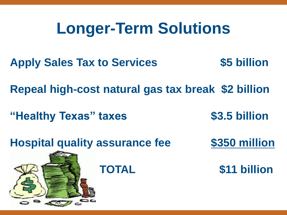# **Longer-Term Solutions**

- **Apply Sales Tax to Services \$5 billion**
- **Repeal high-cost natural gas tax break \$2 billion**
- **"Healthy Texas" taxes \$3.5 billion**
- 
- **Hospital quality assurance fee \$350 million**
- 

 **TOTAL \$11 billion**